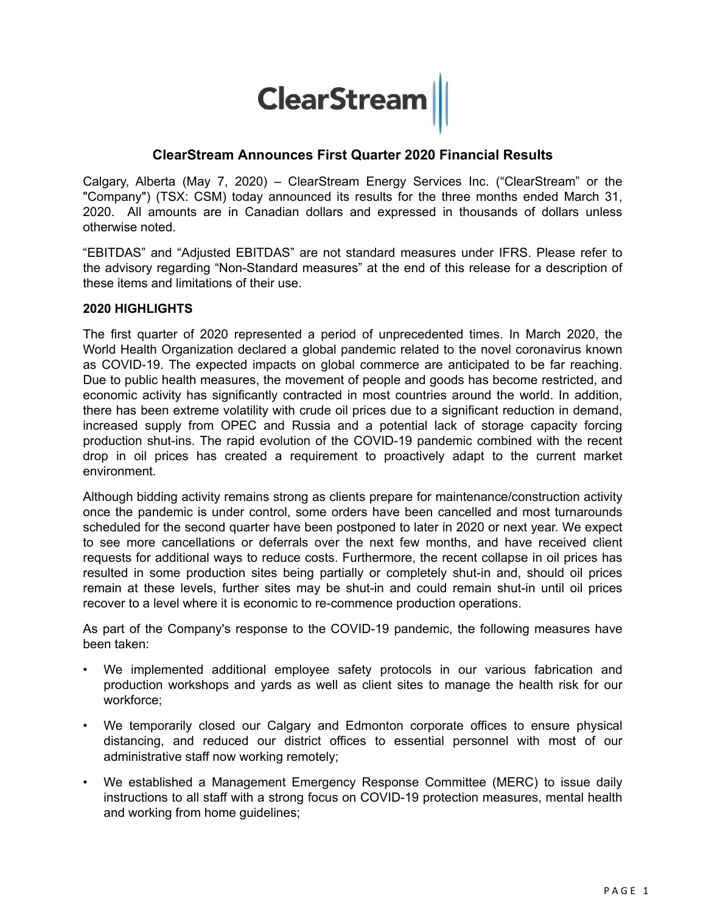# **ClearStream**

# **ClearStream Announces First Quarter 2020 Financial Results**

Calgary, Alberta (May 7, 2020) – ClearStream Energy Services Inc. ("ClearStream" or the "Company") (TSX: CSM) today announced its results for the three months ended March 31, 2020. All amounts are in Canadian dollars and expressed in thousands of dollars unless otherwise noted.

"EBITDAS" and "Adjusted EBITDAS" are not standard measures under IFRS. Please refer to the advisory regarding "Non-Standard measures" at the end of this release for a description of these items and limitations of their use.

#### **2020 HIGHLIGHTS**

The first quarter of 2020 represented a period of unprecedented times. In March 2020, the World Health Organization declared a global pandemic related to the novel coronavirus known as COVID-19. The expected impacts on global commerce are anticipated to be far reaching. Due to public health measures, the movement of people and goods has become restricted, and economic activity has significantly contracted in most countries around the world. In addition, there has been extreme volatility with crude oil prices due to a significant reduction in demand, increased supply from OPEC and Russia and a potential lack of storage capacity forcing production shut-ins. The rapid evolution of the COVID-19 pandemic combined with the recent drop in oil prices has created a requirement to proactively adapt to the current market environment.

Although bidding activity remains strong as clients prepare for maintenance/construction activity once the pandemic is under control, some orders have been cancelled and most turnarounds scheduled for the second quarter have been postponed to later in 2020 or next year. We expect to see more cancellations or deferrals over the next few months, and have received client requests for additional ways to reduce costs. Furthermore, the recent collapse in oil prices has resulted in some production sites being partially or completely shut-in and, should oil prices remain at these levels, further sites may be shut-in and could remain shut-in until oil prices recover to a level where it is economic to re-commence production operations.

As part of the Company's response to the COVID-19 pandemic, the following measures have been taken:

- We implemented additional employee safety protocols in our various fabrication and production workshops and yards as well as client sites to manage the health risk for our workforce;
- We temporarily closed our Calgary and Edmonton corporate offices to ensure physical distancing, and reduced our district offices to essential personnel with most of our administrative staff now working remotely;
- We established a Management Emergency Response Committee (MERC) to issue daily instructions to all staff with a strong focus on COVID-19 protection measures, mental health and working from home guidelines;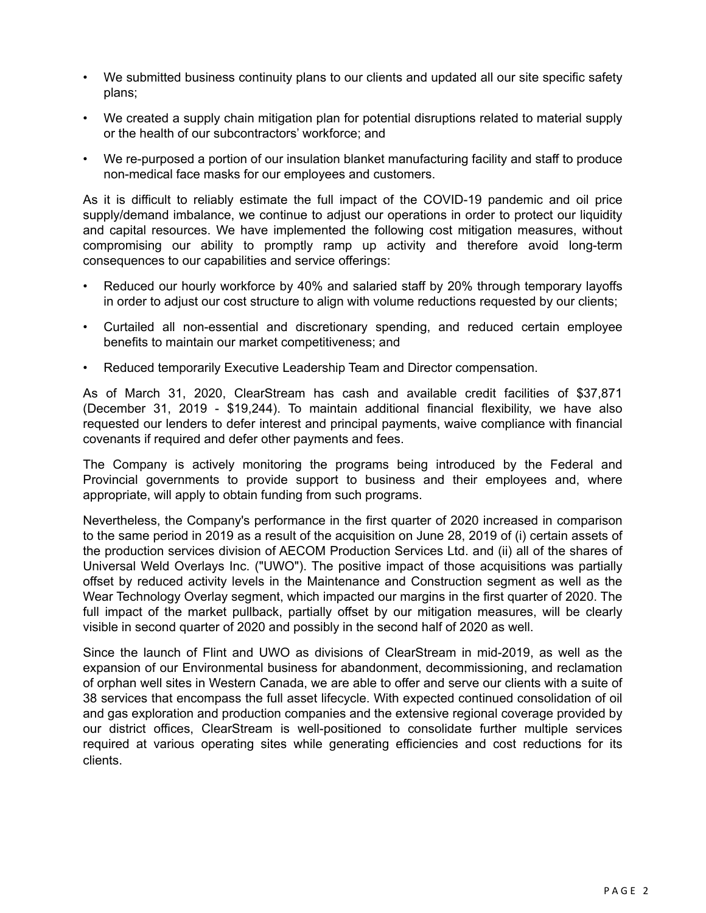- We submitted business continuity plans to our clients and updated all our site specific safety plans;
- We created a supply chain mitigation plan for potential disruptions related to material supply or the health of our subcontractors' workforce; and
- We re-purposed a portion of our insulation blanket manufacturing facility and staff to produce non-medical face masks for our employees and customers.

As it is difficult to reliably estimate the full impact of the COVID-19 pandemic and oil price supply/demand imbalance, we continue to adjust our operations in order to protect our liquidity and capital resources. We have implemented the following cost mitigation measures, without compromising our ability to promptly ramp up activity and therefore avoid long-term consequences to our capabilities and service offerings:

- Reduced our hourly workforce by 40% and salaried staff by 20% through temporary layoffs in order to adjust our cost structure to align with volume reductions requested by our clients;
- Curtailed all non-essential and discretionary spending, and reduced certain employee benefits to maintain our market competitiveness; and
- Reduced temporarily Executive Leadership Team and Director compensation.

As of March 31, 2020, ClearStream has cash and available credit facilities of \$37,871 (December 31, 2019 - \$19,244). To maintain additional financial flexibility, we have also requested our lenders to defer interest and principal payments, waive compliance with financial covenants if required and defer other payments and fees.

The Company is actively monitoring the programs being introduced by the Federal and Provincial governments to provide support to business and their employees and, where appropriate, will apply to obtain funding from such programs.

Nevertheless, the Company's performance in the first quarter of 2020 increased in comparison to the same period in 2019 as a result of the acquisition on June 28, 2019 of (i) certain assets of the production services division of AECOM Production Services Ltd. and (ii) all of the shares of Universal Weld Overlays Inc. ("UWO"). The positive impact of those acquisitions was partially offset by reduced activity levels in the Maintenance and Construction segment as well as the Wear Technology Overlay segment, which impacted our margins in the first quarter of 2020. The full impact of the market pullback, partially offset by our mitigation measures, will be clearly visible in second quarter of 2020 and possibly in the second half of 2020 as well.

Since the launch of Flint and UWO as divisions of ClearStream in mid-2019, as well as the expansion of our Environmental business for abandonment, decommissioning, and reclamation of orphan well sites in Western Canada, we are able to offer and serve our clients with a suite of 38 services that encompass the full asset lifecycle. With expected continued consolidation of oil and gas exploration and production companies and the extensive regional coverage provided by our district offices, ClearStream is well-positioned to consolidate further multiple services required at various operating sites while generating efficiencies and cost reductions for its clients.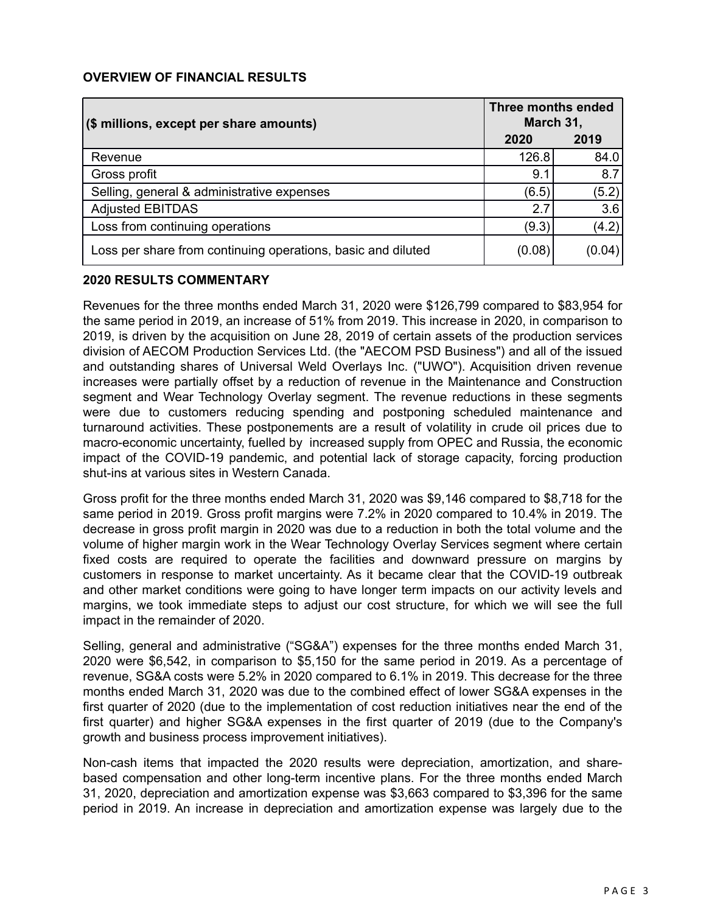#### **OVERVIEW OF FINANCIAL RESULTS**

| (\$ millions, except per share amounts)                      | Three months ended<br>March 31, |        |
|--------------------------------------------------------------|---------------------------------|--------|
|                                                              | 2020                            | 2019   |
| Revenue                                                      | 126.8                           | 84.0   |
| Gross profit                                                 | 9.1                             | 8.7    |
| Selling, general & administrative expenses                   | (6.5)                           | (5.2)  |
| <b>Adjusted EBITDAS</b>                                      | 2.7                             | 3.6    |
| Loss from continuing operations                              | (9.3)                           | (4.2)  |
| Loss per share from continuing operations, basic and diluted | (0.08)                          | (0.04) |

#### **2020 RESULTS COMMENTARY**

Revenues for the three months ended March 31, 2020 were \$126,799 compared to \$83,954 for the same period in 2019, an increase of 51% from 2019. This increase in 2020, in comparison to 2019, is driven by the acquisition on June 28, 2019 of certain assets of the production services division of AECOM Production Services Ltd. (the "AECOM PSD Business") and all of the issued and outstanding shares of Universal Weld Overlays Inc. ("UWO"). Acquisition driven revenue increases were partially offset by a reduction of revenue in the Maintenance and Construction segment and Wear Technology Overlay segment. The revenue reductions in these segments were due to customers reducing spending and postponing scheduled maintenance and turnaround activities. These postponements are a result of volatility in crude oil prices due to macro-economic uncertainty, fuelled by increased supply from OPEC and Russia, the economic impact of the COVID-19 pandemic, and potential lack of storage capacity, forcing production shut-ins at various sites in Western Canada.

Gross profit for the three months ended March 31, 2020 was \$9,146 compared to \$8,718 for the same period in 2019. Gross profit margins were 7.2% in 2020 compared to 10.4% in 2019. The decrease in gross profit margin in 2020 was due to a reduction in both the total volume and the volume of higher margin work in the Wear Technology Overlay Services segment where certain fixed costs are required to operate the facilities and downward pressure on margins by customers in response to market uncertainty. As it became clear that the COVID-19 outbreak and other market conditions were going to have longer term impacts on our activity levels and margins, we took immediate steps to adjust our cost structure, for which we will see the full impact in the remainder of 2020.

Selling, general and administrative ("SG&A") expenses for the three months ended March 31, 2020 were \$6,542, in comparison to \$5,150 for the same period in 2019. As a percentage of revenue, SG&A costs were 5.2% in 2020 compared to 6.1% in 2019. This decrease for the three months ended March 31, 2020 was due to the combined effect of lower SG&A expenses in the first quarter of 2020 (due to the implementation of cost reduction initiatives near the end of the first quarter) and higher SG&A expenses in the first quarter of 2019 (due to the Company's growth and business process improvement initiatives).

Non-cash items that impacted the 2020 results were depreciation, amortization, and sharebased compensation and other long-term incentive plans. For the three months ended March 31, 2020, depreciation and amortization expense was \$3,663 compared to \$3,396 for the same period in 2019. An increase in depreciation and amortization expense was largely due to the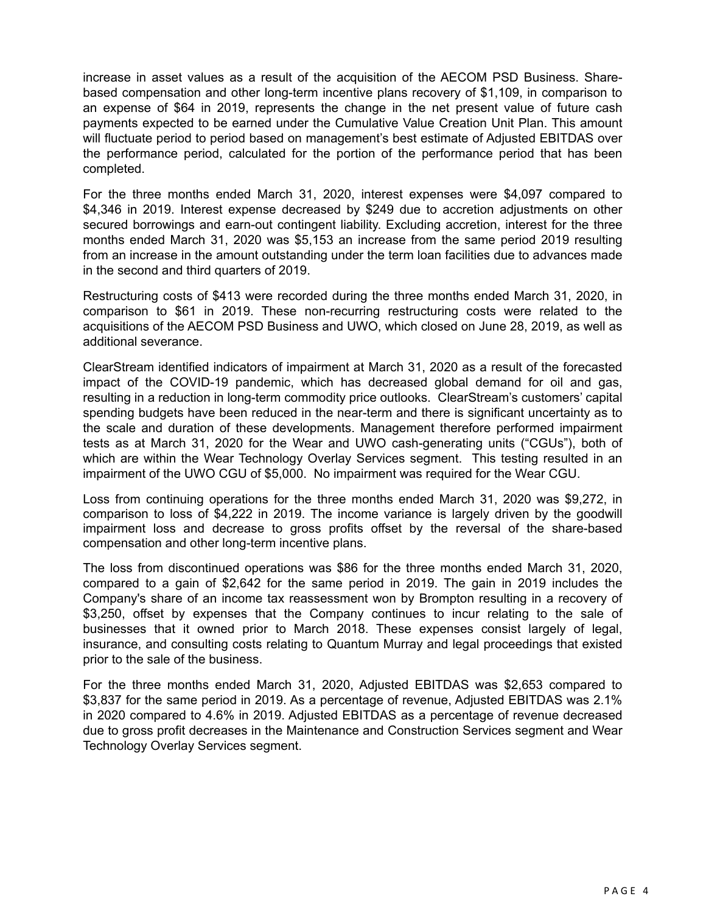increase in asset values as a result of the acquisition of the AECOM PSD Business. Sharebased compensation and other long-term incentive plans recovery of \$1,109, in comparison to an expense of \$64 in 2019, represents the change in the net present value of future cash payments expected to be earned under the Cumulative Value Creation Unit Plan. This amount will fluctuate period to period based on management's best estimate of Adjusted EBITDAS over the performance period, calculated for the portion of the performance period that has been completed.

For the three months ended March 31, 2020, interest expenses were \$4,097 compared to \$4,346 in 2019. Interest expense decreased by \$249 due to accretion adjustments on other secured borrowings and earn-out contingent liability. Excluding accretion, interest for the three months ended March 31, 2020 was \$5,153 an increase from the same period 2019 resulting from an increase in the amount outstanding under the term loan facilities due to advances made in the second and third quarters of 2019.

Restructuring costs of \$413 were recorded during the three months ended March 31, 2020, in comparison to \$61 in 2019. These non-recurring restructuring costs were related to the acquisitions of the AECOM PSD Business and UWO, which closed on June 28, 2019, as well as additional severance.

ClearStream identified indicators of impairment at March 31, 2020 as a result of the forecasted impact of the COVID-19 pandemic, which has decreased global demand for oil and gas, resulting in a reduction in long-term commodity price outlooks. ClearStream's customers' capital spending budgets have been reduced in the near-term and there is significant uncertainty as to the scale and duration of these developments. Management therefore performed impairment tests as at March 31, 2020 for the Wear and UWO cash-generating units ("CGUs"), both of which are within the Wear Technology Overlay Services segment. This testing resulted in an impairment of the UWO CGU of \$5,000. No impairment was required for the Wear CGU.

Loss from continuing operations for the three months ended March 31, 2020 was \$9,272, in comparison to loss of \$4,222 in 2019. The income variance is largely driven by the goodwill impairment loss and decrease to gross profits offset by the reversal of the share-based compensation and other long-term incentive plans.

The loss from discontinued operations was \$86 for the three months ended March 31, 2020, compared to a gain of \$2,642 for the same period in 2019. The gain in 2019 includes the Company's share of an income tax reassessment won by Brompton resulting in a recovery of \$3,250, offset by expenses that the Company continues to incur relating to the sale of businesses that it owned prior to March 2018. These expenses consist largely of legal, insurance, and consulting costs relating to Quantum Murray and legal proceedings that existed prior to the sale of the business.

For the three months ended March 31, 2020, Adjusted EBITDAS was \$2,653 compared to \$3,837 for the same period in 2019. As a percentage of revenue, Adjusted EBITDAS was 2.1% in 2020 compared to 4.6% in 2019. Adjusted EBITDAS as a percentage of revenue decreased due to gross profit decreases in the Maintenance and Construction Services segment and Wear Technology Overlay Services segment.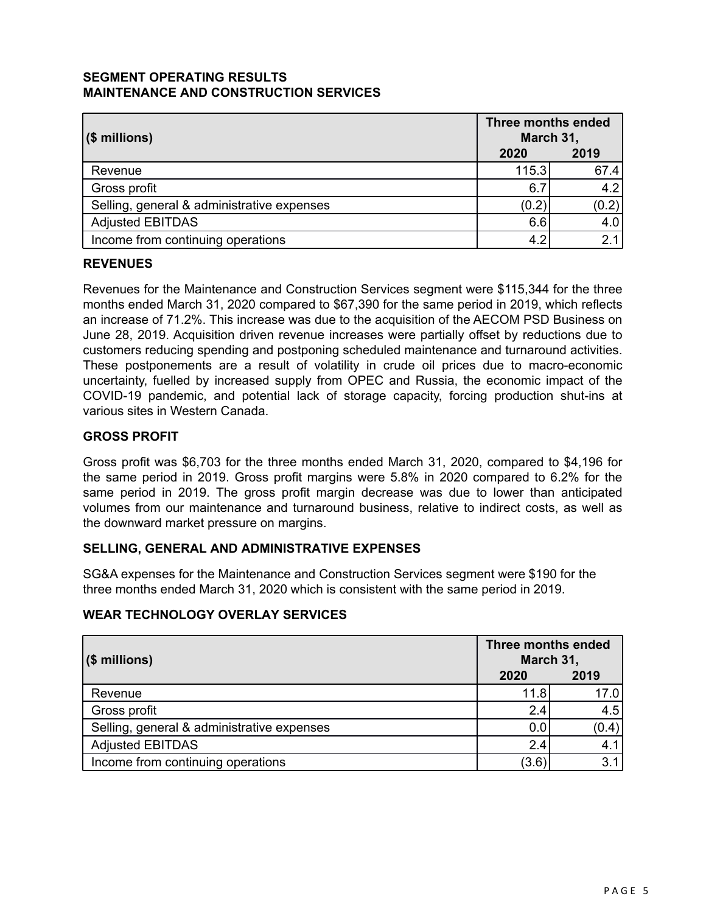### **SEGMENT OPERATING RESULTS MAINTENANCE AND CONSTRUCTION SERVICES**

| $($ millions)                              | Three months ended<br>March 31, |       |
|--------------------------------------------|---------------------------------|-------|
|                                            | 2020                            | 2019  |
| Revenue                                    | 115.3                           | 67.4  |
| Gross profit                               | 6.7                             | 4.2   |
| Selling, general & administrative expenses | (0.2)                           | (0.2) |
| <b>Adjusted EBITDAS</b>                    | 6.6                             | 4.0   |
| Income from continuing operations          | 4.2                             | 2.1   |

### **REVENUES**

Revenues for the Maintenance and Construction Services segment were \$115,344 for the three months ended March 31, 2020 compared to \$67,390 for the same period in 2019, which reflects an increase of 71.2%. This increase was due to the acquisition of the AECOM PSD Business on June 28, 2019. Acquisition driven revenue increases were partially offset by reductions due to customers reducing spending and postponing scheduled maintenance and turnaround activities. These postponements are a result of volatility in crude oil prices due to macro-economic uncertainty, fuelled by increased supply from OPEC and Russia, the economic impact of the COVID-19 pandemic, and potential lack of storage capacity, forcing production shut-ins at various sites in Western Canada.

### **GROSS PROFIT**

Gross profit was \$6,703 for the three months ended March 31, 2020, compared to \$4,196 for the same period in 2019. Gross profit margins were 5.8% in 2020 compared to 6.2% for the same period in 2019. The gross profit margin decrease was due to lower than anticipated volumes from our maintenance and turnaround business, relative to indirect costs, as well as the downward market pressure on margins.

### **SELLING, GENERAL AND ADMINISTRATIVE EXPENSES**

SG&A expenses for the Maintenance and Construction Services segment were \$190 for the three months ended March 31, 2020 which is consistent with the same period in 2019.

### **WEAR TECHNOLOGY OVERLAY SERVICES**

| $(\$$ millions)                            | <b>Three months ended</b><br>March 31, |       |
|--------------------------------------------|----------------------------------------|-------|
|                                            | 2020                                   | 2019  |
| Revenue                                    | 11.8                                   | 17.0  |
| Gross profit                               | 2.4                                    | 4.5   |
| Selling, general & administrative expenses | 0.0                                    | (0.4) |
| <b>Adjusted EBITDAS</b>                    | 2.4                                    | 4.1   |
| Income from continuing operations          | (3.6)                                  | 3.1   |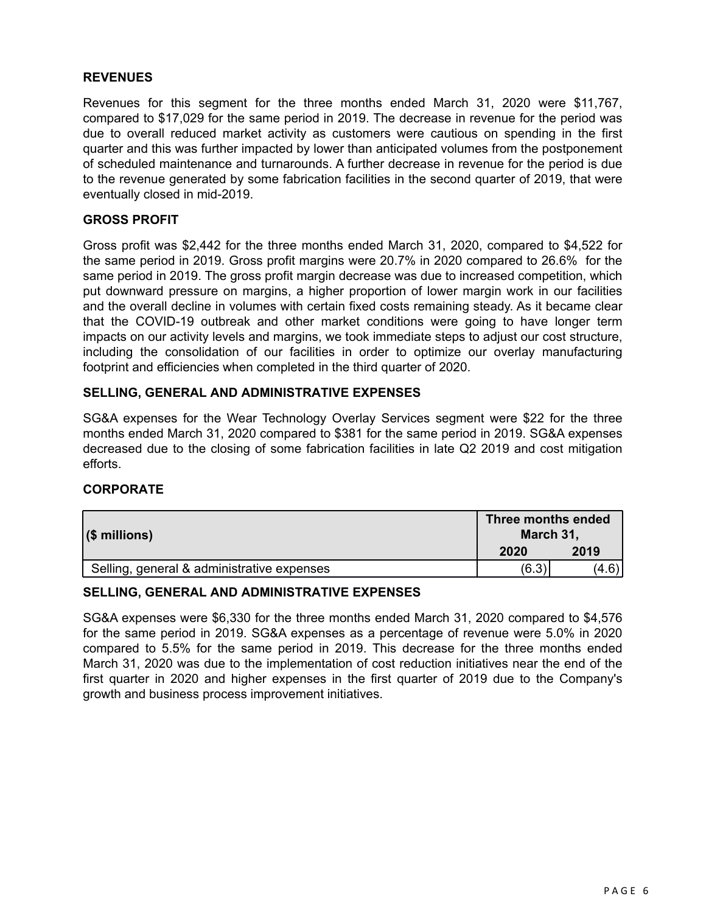#### **REVENUES**

Revenues for this segment for the three months ended March 31, 2020 were \$11,767, compared to \$17,029 for the same period in 2019. The decrease in revenue for the period was due to overall reduced market activity as customers were cautious on spending in the first quarter and this was further impacted by lower than anticipated volumes from the postponement of scheduled maintenance and turnarounds. A further decrease in revenue for the period is due to the revenue generated by some fabrication facilities in the second quarter of 2019, that were eventually closed in mid-2019.

#### **GROSS PROFIT**

Gross profit was \$2,442 for the three months ended March 31, 2020, compared to \$4,522 for the same period in 2019. Gross profit margins were 20.7% in 2020 compared to 26.6% for the same period in 2019. The gross profit margin decrease was due to increased competition, which put downward pressure on margins, a higher proportion of lower margin work in our facilities and the overall decline in volumes with certain fixed costs remaining steady. As it became clear that the COVID-19 outbreak and other market conditions were going to have longer term impacts on our activity levels and margins, we took immediate steps to adjust our cost structure, including the consolidation of our facilities in order to optimize our overlay manufacturing footprint and efficiencies when completed in the third quarter of 2020.

#### **SELLING, GENERAL AND ADMINISTRATIVE EXPENSES**

SG&A expenses for the Wear Technology Overlay Services segment were \$22 for the three months ended March 31, 2020 compared to \$381 for the same period in 2019. SG&A expenses decreased due to the closing of some fabrication facilities in late Q2 2019 and cost mitigation efforts.

### **CORPORATE**

| $($ millions)                              | Three months ended<br>March 31, |       |
|--------------------------------------------|---------------------------------|-------|
|                                            | 2020                            | 2019  |
| Selling, general & administrative expenses | (6.3)                           | (4.6) |

#### **SELLING, GENERAL AND ADMINISTRATIVE EXPENSES**

SG&A expenses were \$6,330 for the three months ended March 31, 2020 compared to \$4,576 for the same period in 2019. SG&A expenses as a percentage of revenue were 5.0% in 2020 compared to 5.5% for the same period in 2019. This decrease for the three months ended March 31, 2020 was due to the implementation of cost reduction initiatives near the end of the first quarter in 2020 and higher expenses in the first quarter of 2019 due to the Company's growth and business process improvement initiatives.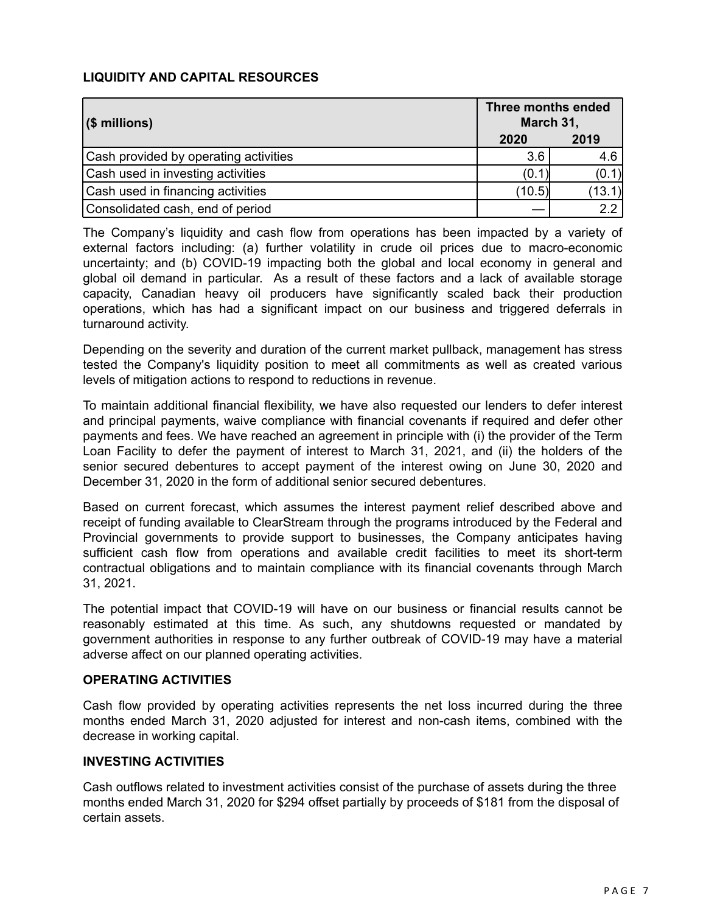## **LIQUIDITY AND CAPITAL RESOURCES**

| $ $ (\$ millions)                     | Three months ended<br>March 31, |        |
|---------------------------------------|---------------------------------|--------|
|                                       | 2020                            | 2019   |
| Cash provided by operating activities | 3.6                             | 4.6    |
| Cash used in investing activities     | (0.1)                           | (0.1)  |
| Cash used in financing activities     | (10.5)                          | (13.1) |
| Consolidated cash, end of period      |                                 | 2.2    |

The Company's liquidity and cash flow from operations has been impacted by a variety of external factors including: (a) further volatility in crude oil prices due to macro-economic uncertainty; and (b) COVID-19 impacting both the global and local economy in general and global oil demand in particular. As a result of these factors and a lack of available storage capacity, Canadian heavy oil producers have significantly scaled back their production operations, which has had a significant impact on our business and triggered deferrals in turnaround activity.

Depending on the severity and duration of the current market pullback, management has stress tested the Company's liquidity position to meet all commitments as well as created various levels of mitigation actions to respond to reductions in revenue.

To maintain additional financial flexibility, we have also requested our lenders to defer interest and principal payments, waive compliance with financial covenants if required and defer other payments and fees. We have reached an agreement in principle with (i) the provider of the Term Loan Facility to defer the payment of interest to March 31, 2021, and (ii) the holders of the senior secured debentures to accept payment of the interest owing on June 30, 2020 and December 31, 2020 in the form of additional senior secured debentures.

Based on current forecast, which assumes the interest payment relief described above and receipt of funding available to ClearStream through the programs introduced by the Federal and Provincial governments to provide support to businesses, the Company anticipates having sufficient cash flow from operations and available credit facilities to meet its short-term contractual obligations and to maintain compliance with its financial covenants through March 31, 2021.

The potential impact that COVID-19 will have on our business or financial results cannot be reasonably estimated at this time. As such, any shutdowns requested or mandated by government authorities in response to any further outbreak of COVID-19 may have a material adverse affect on our planned operating activities.

### **OPERATING ACTIVITIES**

Cash flow provided by operating activities represents the net loss incurred during the three months ended March 31, 2020 adjusted for interest and non-cash items, combined with the decrease in working capital.

#### **INVESTING ACTIVITIES**

Cash outflows related to investment activities consist of the purchase of assets during the three months ended March 31, 2020 for \$294 offset partially by proceeds of \$181 from the disposal of certain assets.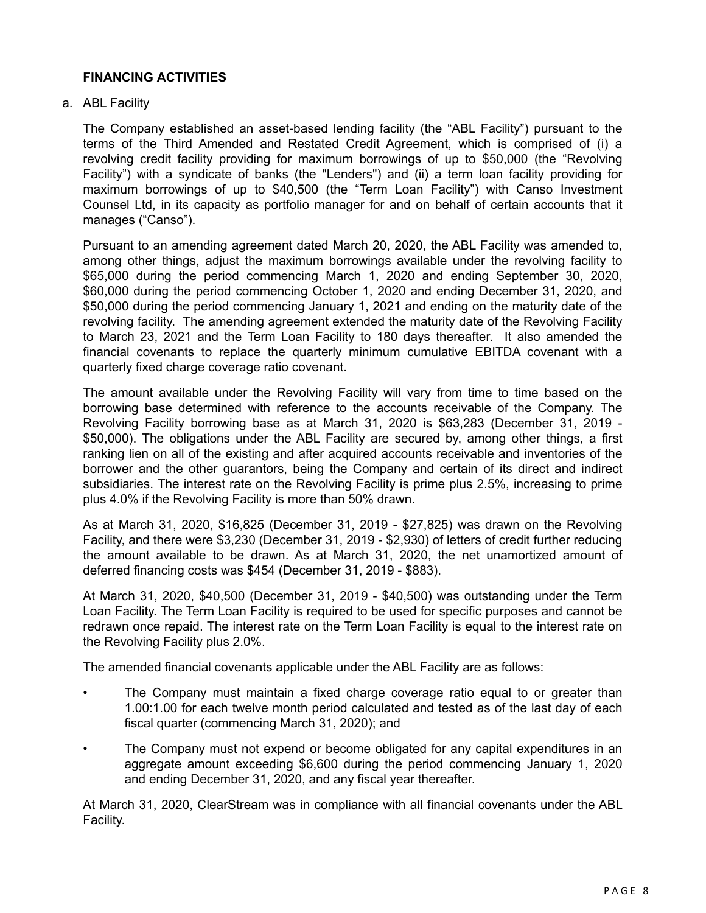#### **FINANCING ACTIVITIES**

a. ABL Facility

The Company established an asset-based lending facility (the "ABL Facility") pursuant to the terms of the Third Amended and Restated Credit Agreement, which is comprised of (i) a revolving credit facility providing for maximum borrowings of up to \$50,000 (the "Revolving Facility") with a syndicate of banks (the "Lenders") and (ii) a term loan facility providing for maximum borrowings of up to \$40,500 (the "Term Loan Facility") with Canso Investment Counsel Ltd, in its capacity as portfolio manager for and on behalf of certain accounts that it manages ("Canso").

Pursuant to an amending agreement dated March 20, 2020, the ABL Facility was amended to, among other things, adjust the maximum borrowings available under the revolving facility to \$65,000 during the period commencing March 1, 2020 and ending September 30, 2020, \$60,000 during the period commencing October 1, 2020 and ending December 31, 2020, and \$50,000 during the period commencing January 1, 2021 and ending on the maturity date of the revolving facility. The amending agreement extended the maturity date of the Revolving Facility to March 23, 2021 and the Term Loan Facility to 180 days thereafter. It also amended the financial covenants to replace the quarterly minimum cumulative EBITDA covenant with a quarterly fixed charge coverage ratio covenant.

The amount available under the Revolving Facility will vary from time to time based on the borrowing base determined with reference to the accounts receivable of the Company. The Revolving Facility borrowing base as at March 31, 2020 is \$63,283 (December 31, 2019 - \$50,000). The obligations under the ABL Facility are secured by, among other things, a first ranking lien on all of the existing and after acquired accounts receivable and inventories of the borrower and the other guarantors, being the Company and certain of its direct and indirect subsidiaries. The interest rate on the Revolving Facility is prime plus 2.5%, increasing to prime plus 4.0% if the Revolving Facility is more than 50% drawn.

As at March 31, 2020, \$16,825 (December 31, 2019 - \$27,825) was drawn on the Revolving Facility, and there were \$3,230 (December 31, 2019 - \$2,930) of letters of credit further reducing the amount available to be drawn. As at March 31, 2020, the net unamortized amount of deferred financing costs was \$454 (December 31, 2019 - \$883).

At March 31, 2020, \$40,500 (December 31, 2019 - \$40,500) was outstanding under the Term Loan Facility. The Term Loan Facility is required to be used for specific purposes and cannot be redrawn once repaid. The interest rate on the Term Loan Facility is equal to the interest rate on the Revolving Facility plus 2.0%.

The amended financial covenants applicable under the ABL Facility are as follows:

- The Company must maintain a fixed charge coverage ratio equal to or greater than 1.00:1.00 for each twelve month period calculated and tested as of the last day of each fiscal quarter (commencing March 31, 2020); and
- The Company must not expend or become obligated for any capital expenditures in an aggregate amount exceeding \$6,600 during the period commencing January 1, 2020 and ending December 31, 2020, and any fiscal year thereafter.

At March 31, 2020, ClearStream was in compliance with all financial covenants under the ABL Facility.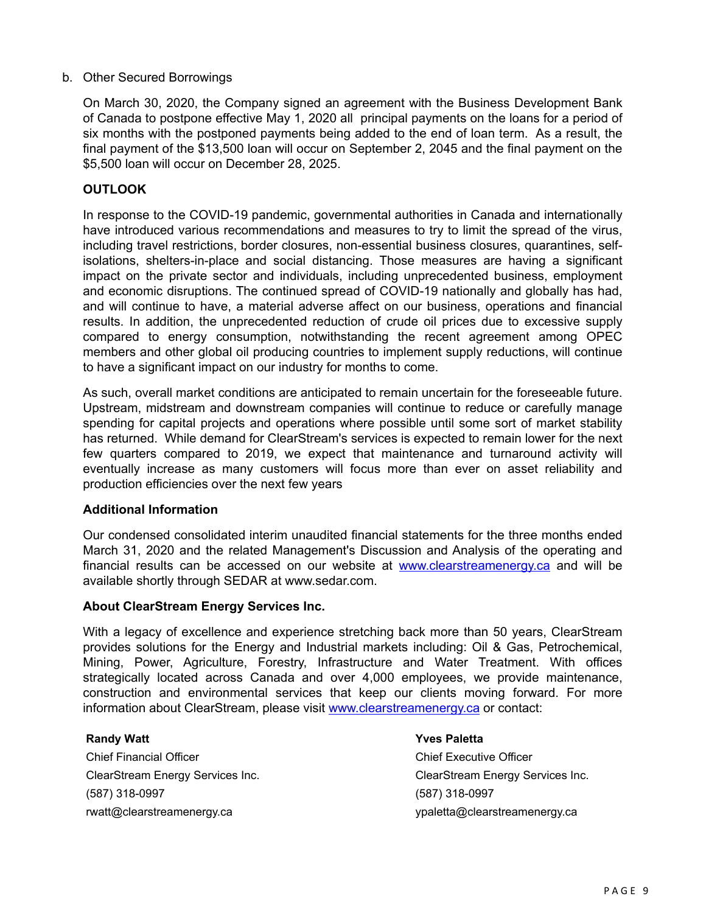#### b. Other Secured Borrowings

On March 30, 2020, the Company signed an agreement with the Business Development Bank of Canada to postpone effective May 1, 2020 all principal payments on the loans for a period of six months with the postponed payments being added to the end of loan term. As a result, the final payment of the \$13,500 loan will occur on September 2, 2045 and the final payment on the \$5,500 loan will occur on December 28, 2025.

#### **OUTLOOK**

In response to the COVID-19 pandemic, governmental authorities in Canada and internationally have introduced various recommendations and measures to try to limit the spread of the virus, including travel restrictions, border closures, non-essential business closures, quarantines, selfisolations, shelters-in-place and social distancing. Those measures are having a significant impact on the private sector and individuals, including unprecedented business, employment and economic disruptions. The continued spread of COVID-19 nationally and globally has had, and will continue to have, a material adverse affect on our business, operations and financial results. In addition, the unprecedented reduction of crude oil prices due to excessive supply compared to energy consumption, notwithstanding the recent agreement among OPEC members and other global oil producing countries to implement supply reductions, will continue to have a significant impact on our industry for months to come.

As such, overall market conditions are anticipated to remain uncertain for the foreseeable future. Upstream, midstream and downstream companies will continue to reduce or carefully manage spending for capital projects and operations where possible until some sort of market stability has returned. While demand for ClearStream's services is expected to remain lower for the next few quarters compared to 2019, we expect that maintenance and turnaround activity will eventually increase as many customers will focus more than ever on asset reliability and production efficiencies over the next few years

#### **Additional Information**

Our condensed consolidated interim unaudited financial statements for the three months ended March 31, 2020 and the related Management's Discussion and Analysis of the operating and financial results can be accessed on our website at <www.clearstreamenergy.ca> and will be available shortly through SEDAR at www.sedar.com.

#### **About ClearStream Energy Services Inc.**

With a legacy of excellence and experience stretching back more than 50 years, ClearStream provides solutions for the Energy and Industrial markets including: Oil & Gas, Petrochemical, Mining, Power, Agriculture, Forestry, Infrastructure and Water Treatment. With offices strategically located across Canada and over 4,000 employees, we provide maintenance, construction and environmental services that keep our clients moving forward. For more information about ClearStream, please visit <www.clearstreamenergy.ca> or contact:

Chief Financial Officer Chief Executive Officer (587) 318-0997 (587) 318-0997 rwatt@clearstreamenergy.ca ypaletta@clearstreamenergy.ca

#### **Randy Watt Yves Paletta**

ClearStream Energy Services Inc. ClearStream Energy Services Inc.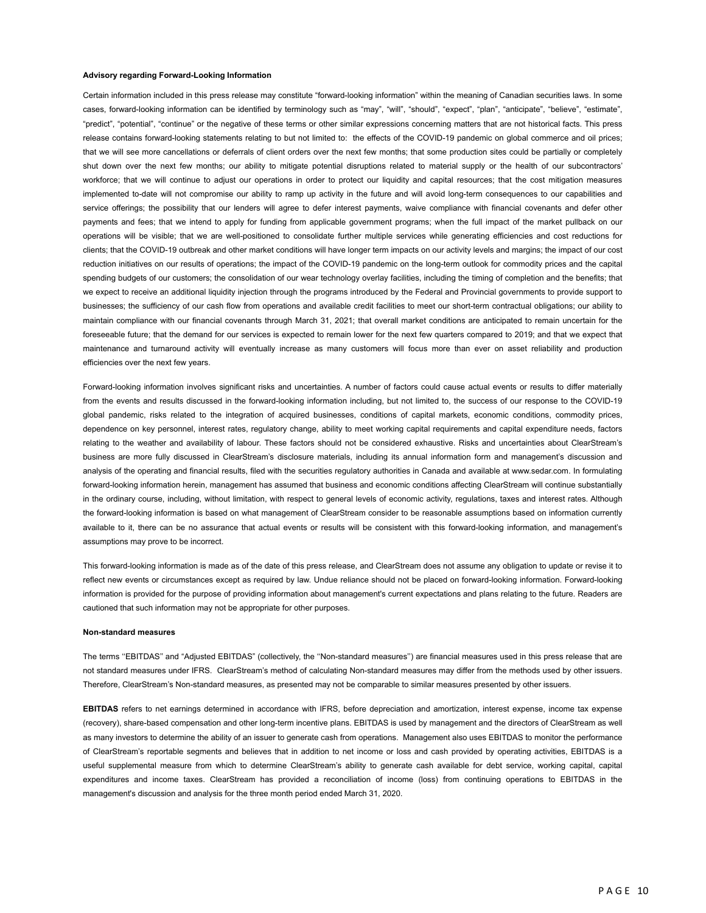#### **Advisory regarding Forward-Looking Information**

Certain information included in this press release may constitute "forward-looking information" within the meaning of Canadian securities laws. In some cases, forward-looking information can be identified by terminology such as "may", "will", "should", "expect", "plan", "anticipate", "believe", "estimate", "predict", "potential", "continue" or the negative of these terms or other similar expressions concerning matters that are not historical facts. This press release contains forward-looking statements relating to but not limited to: the effects of the COVID-19 pandemic on global commerce and oil prices; that we will see more cancellations or deferrals of client orders over the next few months; that some production sites could be partially or completely shut down over the next few months; our ability to mitigate potential disruptions related to material supply or the health of our subcontractors' workforce; that we will continue to adjust our operations in order to protect our liquidity and capital resources; that the cost mitigation measures implemented to-date will not compromise our ability to ramp up activity in the future and will avoid long-term consequences to our capabilities and service offerings; the possibility that our lenders will agree to defer interest payments, waive compliance with financial covenants and defer other payments and fees; that we intend to apply for funding from applicable government programs; when the full impact of the market pullback on our operations will be visible; that we are well-positioned to consolidate further multiple services while generating efficiencies and cost reductions for clients; that the COVID-19 outbreak and other market conditions will have longer term impacts on our activity levels and margins; the impact of our cost reduction initiatives on our results of operations; the impact of the COVID-19 pandemic on the long-term outlook for commodity prices and the capital spending budgets of our customers; the consolidation of our wear technology overlay facilities, including the timing of completion and the benefits; that we expect to receive an additional liquidity injection through the programs introduced by the Federal and Provincial governments to provide support to businesses; the sufficiency of our cash flow from operations and available credit facilities to meet our short-term contractual obligations; our ability to maintain compliance with our financial covenants through March 31, 2021; that overall market conditions are anticipated to remain uncertain for the foreseeable future; that the demand for our services is expected to remain lower for the next few quarters compared to 2019; and that we expect that maintenance and turnaround activity will eventually increase as many customers will focus more than ever on asset reliability and production efficiencies over the next few years.

Forward-looking information involves significant risks and uncertainties. A number of factors could cause actual events or results to differ materially from the events and results discussed in the forward-looking information including, but not limited to, the success of our response to the COVID-19 global pandemic, risks related to the integration of acquired businesses, conditions of capital markets, economic conditions, commodity prices, dependence on key personnel, interest rates, regulatory change, ability to meet working capital requirements and capital expenditure needs, factors relating to the weather and availability of labour. These factors should not be considered exhaustive. Risks and uncertainties about ClearStream's business are more fully discussed in ClearStream's disclosure materials, including its annual information form and management's discussion and analysis of the operating and financial results, filed with the securities regulatory authorities in Canada and available at www.sedar.com. In formulating forward-looking information herein, management has assumed that business and economic conditions affecting ClearStream will continue substantially in the ordinary course, including, without limitation, with respect to general levels of economic activity, regulations, taxes and interest rates. Although the forward-looking information is based on what management of ClearStream consider to be reasonable assumptions based on information currently available to it, there can be no assurance that actual events or results will be consistent with this forward-looking information, and management's assumptions may prove to be incorrect.

This forward-looking information is made as of the date of this press release, and ClearStream does not assume any obligation to update or revise it to reflect new events or circumstances except as required by law. Undue reliance should not be placed on forward-looking information. Forward-looking information is provided for the purpose of providing information about management's current expectations and plans relating to the future. Readers are cautioned that such information may not be appropriate for other purposes.

#### **Non-standard measures**

The terms ''EBITDAS'' and "Adjusted EBITDAS" (collectively, the ''Non-standard measures'') are financial measures used in this press release that are not standard measures under IFRS. ClearStream's method of calculating Non-standard measures may differ from the methods used by other issuers. Therefore, ClearStream's Non-standard measures, as presented may not be comparable to similar measures presented by other issuers.

**EBITDAS** refers to net earnings determined in accordance with IFRS, before depreciation and amortization, interest expense, income tax expense (recovery), share-based compensation and other long-term incentive plans. EBITDAS is used by management and the directors of ClearStream as well as many investors to determine the ability of an issuer to generate cash from operations. Management also uses EBITDAS to monitor the performance of ClearStream's reportable segments and believes that in addition to net income or loss and cash provided by operating activities, EBITDAS is a useful supplemental measure from which to determine ClearStream's ability to generate cash available for debt service, working capital, capital expenditures and income taxes. ClearStream has provided a reconciliation of income (loss) from continuing operations to EBITDAS in the management's discussion and analysis for the three month period ended March 31, 2020.